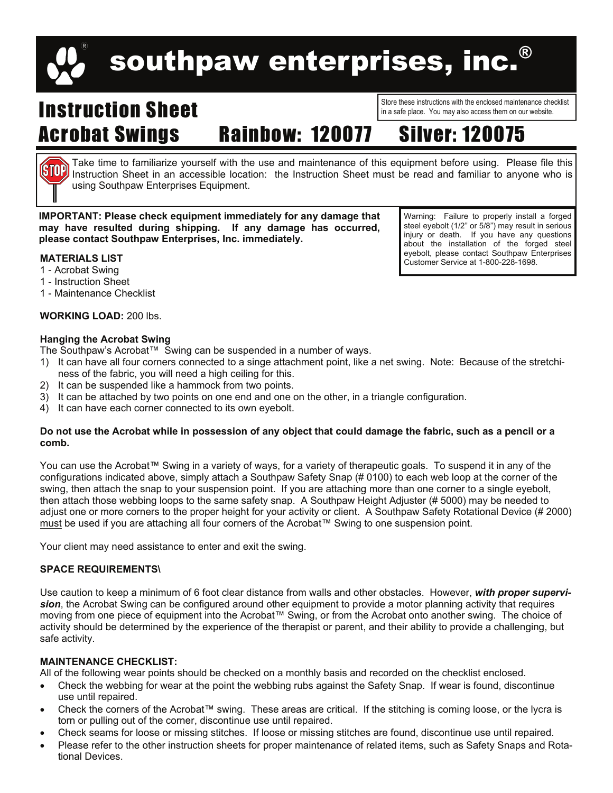# southpaw enterprises, inc.

## Instruction Sheet Acrobat Swings Rainbow: 120077 Silver: 120075

Store these instructions with the enclosed maintenance checklist in a safe place. You may also access them on our website.

Take time to familiarize yourself with the use and maintenance of this equipment before using. Please file this Instruction Sheet in an accessible location: the Instruction Sheet must be read and familiar to anyone who is using Southpaw Enterprises Equipment.

**IMPORTANT: Please check equipment immediately for any damage that may have resulted during shipping. If any damage has occurred, please contact Southpaw Enterprises, Inc. immediately.** 

### **MATERIALS LIST**

(STOP)

- 1 Acrobat Swing
- 1 Instruction Sheet
- 1 Maintenance Checklist

#### **WORKING LOAD:** 200 lbs.

#### **Hanging the Acrobat Swing**

The Southpaw's Acrobat™ Swing can be suspended in a number of ways.

- 1) It can have all four corners connected to a singe attachment point, like a net swing. Note: Because of the stretchiness of the fabric, you will need a high ceiling for this.
- 2) It can be suspended like a hammock from two points.
- 3) It can be attached by two points on one end and one on the other, in a triangle configuration.
- 4) It can have each corner connected to its own eyebolt.

#### **Do not use the Acrobat while in possession of any object that could damage the fabric, such as a pencil or a comb.**

You can use the Acrobat™ Swing in a variety of ways, for a variety of therapeutic goals. To suspend it in any of the configurations indicated above, simply attach a Southpaw Safety Snap (# 0100) to each web loop at the corner of the swing, then attach the snap to your suspension point. If you are attaching more than one corner to a single eyebolt, then attach those webbing loops to the same safety snap. A Southpaw Height Adjuster (# 5000) may be needed to adjust one or more corners to the proper height for your activity or client. A Southpaw Safety Rotational Device (# 2000) must be used if you are attaching all four corners of the Acrobat™ Swing to one suspension point.

Your client may need assistance to enter and exit the swing.

#### **SPACE REQUIREMENTS\**

Use caution to keep a minimum of 6 foot clear distance from walls and other obstacles. However, *with proper supervision*, the Acrobat Swing can be configured around other equipment to provide a motor planning activity that requires moving from one piece of equipment into the Acrobat™ Swing, or from the Acrobat onto another swing. The choice of activity should be determined by the experience of the therapist or parent, and their ability to provide a challenging, but safe activity.

#### **MAINTENANCE CHECKLIST:**

All of the following wear points should be checked on a monthly basis and recorded on the checklist enclosed.

- Check the webbing for wear at the point the webbing rubs against the Safety Snap. If wear is found, discontinue use until repaired.
- Check the corners of the Acrobat™ swing. These areas are critical. If the stitching is coming loose, or the lycra is torn or pulling out of the corner, discontinue use until repaired.
- Check seams for loose or missing stitches. If loose or missing stitches are found, discontinue use until repaired.
- Please refer to the other instruction sheets for proper maintenance of related items, such as Safety Snaps and Rotational Devices.

Warning: Failure to properly install a forged steel eyebolt (1/2" or 5/8") may result in serious injury or death. If you have any questions about the installation of the forged steel eyebolt, please contact Southpaw Enterprises Customer Service at 1-800-228-1698.